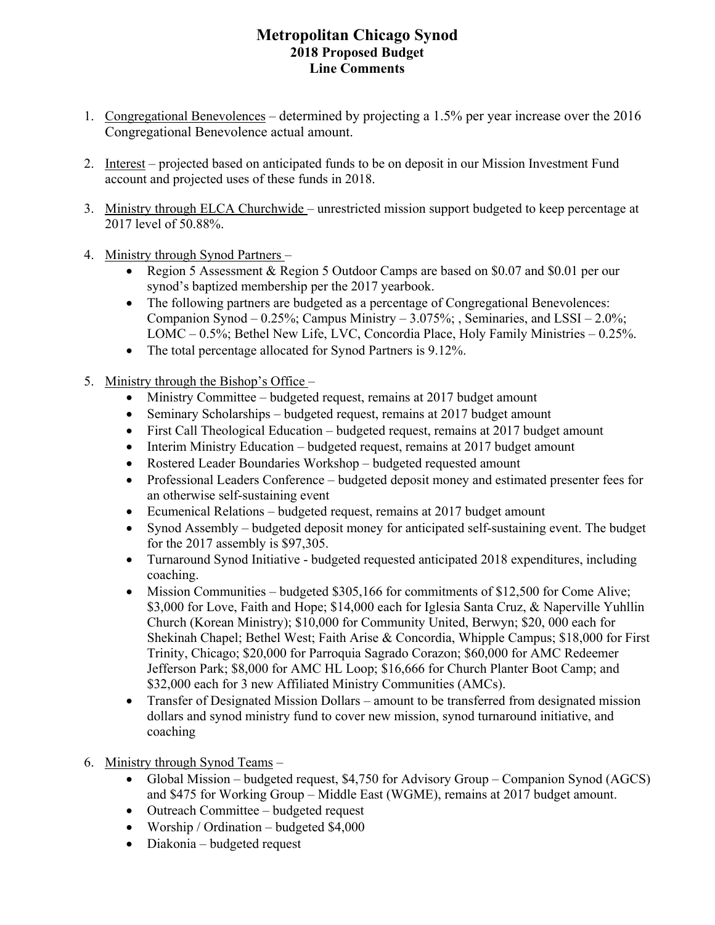## **Metropolitan Chicago Synod 2018 Proposed Budget Line Comments**

- 1. Congregational Benevolences determined by projecting a 1.5% per year increase over the 2016 Congregational Benevolence actual amount.
- 2. Interest projected based on anticipated funds to be on deposit in our Mission Investment Fund account and projected uses of these funds in 2018.
- 3. Ministry through ELCA Churchwide unrestricted mission support budgeted to keep percentage at 2017 level of 50.88%.
- 4. Ministry through Synod Partners
	- Region 5 Assessment & Region 5 Outdoor Camps are based on \$0.07 and \$0.01 per our synod's baptized membership per the 2017 yearbook.
	- The following partners are budgeted as a percentage of Congregational Benevolences: Companion Synod – 0.25%; Campus Ministry – 3.075%; , Seminaries, and LSSI – 2.0%; LOMC – 0.5%; Bethel New Life, LVC, Concordia Place, Holy Family Ministries – 0.25%.
	- The total percentage allocated for Synod Partners is 9.12%.
- 5. Ministry through the Bishop's Office
	- Ministry Committee budgeted request, remains at 2017 budget amount
	- Seminary Scholarships budgeted request, remains at 2017 budget amount
	- First Call Theological Education budgeted request, remains at 2017 budget amount
	- Interim Ministry Education budgeted request, remains at 2017 budget amount
	- Rostered Leader Boundaries Workshop budgeted requested amount
	- Professional Leaders Conference budgeted deposit money and estimated presenter fees for an otherwise self-sustaining event
	- Ecumenical Relations budgeted request, remains at 2017 budget amount
	- Synod Assembly budgeted deposit money for anticipated self-sustaining event. The budget for the 2017 assembly is \$97,305.
	- Turnaround Synod Initiative budgeted requested anticipated 2018 expenditures, including coaching.
	- Mission Communities budgeted \$305,166 for commitments of \$12,500 for Come Alive; \$3,000 for Love, Faith and Hope; \$14,000 each for Iglesia Santa Cruz, & Naperville Yuhllin Church (Korean Ministry); \$10,000 for Community United, Berwyn; \$20, 000 each for Shekinah Chapel; Bethel West; Faith Arise & Concordia, Whipple Campus; \$18,000 for First Trinity, Chicago; \$20,000 for Parroquia Sagrado Corazon; \$60,000 for AMC Redeemer Jefferson Park; \$8,000 for AMC HL Loop; \$16,666 for Church Planter Boot Camp; and \$32,000 each for 3 new Affiliated Ministry Communities (AMCs).
	- Transfer of Designated Mission Dollars amount to be transferred from designated mission dollars and synod ministry fund to cover new mission, synod turnaround initiative, and coaching
- 6. Ministry through Synod Teams
	- Global Mission budgeted request, \$4,750 for Advisory Group Companion Synod (AGCS) and \$475 for Working Group – Middle East (WGME), remains at 2017 budget amount.
	- Outreach Committee budgeted request
	- Worship / Ordination budgeted \$4,000
	- Diakonia budgeted request